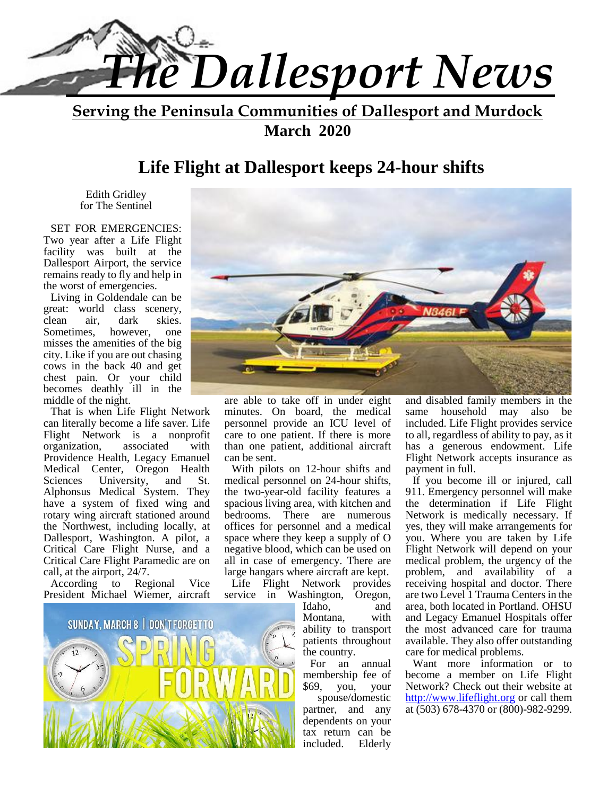

**Serving the Peninsula Communities of Dallesport and Murdock March 2020**

# **Life Flight at Dallesport keeps 24-hour shifts**

Edith Gridley for The Sentinel

SET FOR EMERGENCIES: Two year after a Life Flight facility was built at the Dallesport Airport, the service remains ready to fly and help in the worst of emergencies.

Living in Goldendale can be great: world class scenery, clean air, dark skies. Sometimes, however, one misses the amenities of the big city. Like if you are out chasing cows in the back 40 and get chest pain. Or your child becomes deathly ill in the middle of the night.

That is when Life Flight Network can literally become a life saver. Life Flight Network is a nonprofit organization, associated with Providence Health, Legacy Emanuel Medical Center, Oregon Health<br>Sciences University, and St. University, and St. Alphonsus Medical System. They have a system of fixed wing and rotary wing aircraft stationed around the Northwest, including locally, at Dallesport, Washington. A pilot, a Critical Care Flight Nurse, and a Critical Care Flight Paramedic are on call, at the airport, 24/7.

According to Regional Vice President Michael Wiemer, aircraft





are able to take off in under eight minutes. On board, the medical personnel provide an ICU level of care to one patient. If there is more than one patient, additional aircraft can be sent.

With pilots on 12-hour shifts and medical personnel on 24-hour shifts, the two-year-old facility features a spacious living area, with kitchen and bedrooms. There are numerous offices for personnel and a medical space where they keep a supply of O negative blood, which can be used on all in case of emergency. There are large hangars where aircraft are kept.

Life Flight Network provides service in Washington, Oregon,

> Montana, with ability to transport patients throughout the country.

For an annual membership fee of \$69, you, your

spouse/domestic partner, and any dependents on your tax return can be included. Elderly

and disabled family members in the same household may also be included. Life Flight provides service to all, regardless of ability to pay, as it has a generous endowment. Life Flight Network accepts insurance as payment in full.

Idaho, and area, both located in Portland. OHSU If you become ill or injured, call 911. Emergency personnel will make the determination if Life Flight Network is medically necessary. If yes, they will make arrangements for you. Where you are taken by Life Flight Network will depend on your medical problem, the urgency of the problem, and availability of a receiving hospital and doctor. There are two Level 1 Trauma Centers in the and Legacy Emanuel Hospitals offer the most advanced care for trauma available. They also offer outstanding care for medical problems.

Want more information or to become a member on Life Flight Network? Check out their website at http://www.lifeflight.org or call them at (503) 678-4370 or (800)-982-9299.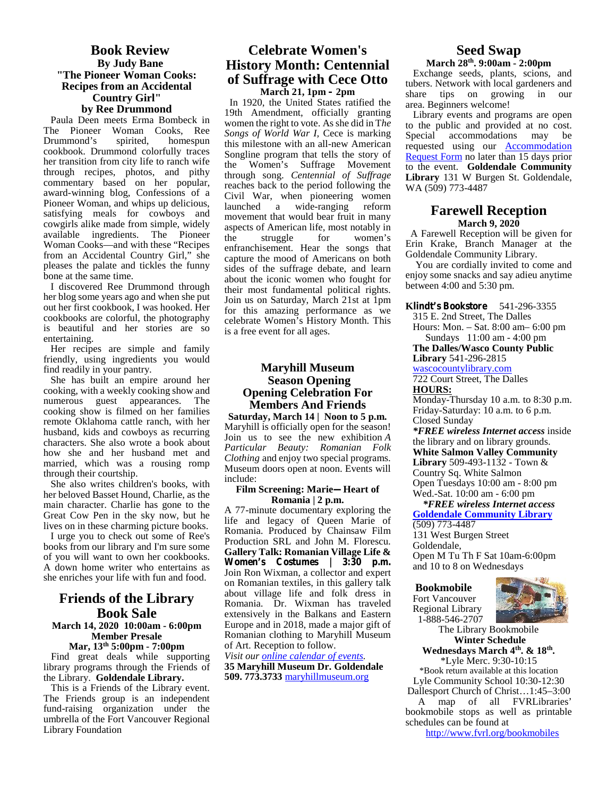#### **Book Review By Judy Bane "The Pioneer Woman Cooks: Recipes from an Accidental Country Girl" by Ree Drummond**

Paula Deen meets Erma Bombeck in The Pioneer Woman Cooks, Ree<br>Drummond's spirited, homespun Drummond's spirited, homespun cookbook. Drummond colorfully traces her transition from city life to ranch wife through recipes, photos, and pithy commentary based on her popular, award-winning blog, Confessions of a Pioneer Woman, and whips up delicious, satisfying meals for cowboys and cowgirls alike made from simple, widely available ingredients. The Pioneer the Woman Cooks—and with these "Recipes from an Accidental Country Girl," she pleases the palate and tickles the funny bone at the same time.

I discovered Ree Drummond through her blog some years ago and when she put out her first cookbook, I was hooked. Her cookbooks are colorful, the photography is beautiful and her stories are so entertaining.

Her recipes are simple and family friendly, using ingredients you would find readily in your pantry.

She has built an empire around her cooking, with a weekly cooking show and numerous guest appearances. The cooking show is filmed on her families remote Oklahoma cattle ranch, with her husband, kids and cowboys as recurring characters. She also wrote a book about how she and her husband met and married, which was a rousing romp through their courtship.

She also writes children's books, with her beloved Basset Hound, Charlie, as the main character. Charlie has gone to the Great Cow Pen in the sky now, but he lives on in these charming picture books.

I urge you to check out some of Ree's books from our library and I'm sure some of you will want to own her cookbooks. A down home writer who entertains as she enriches your life with fun and food.

### **Friends of the Library Book Sale**

#### **March 14, 2020 10:00am - 6:00pm Member Presale**

**Mar, 13th 5:00pm - 7:00pm** Find great deals while supporting library programs through the Friends of the Library. **Goldendale Library.**

This is a Friends of the Library event. The Friends group is an independent fund-raising organization under the umbrella of the Fort Vancouver Regional Library Foundation

#### **Celebrate Women's History Month: Centennial of Suffrage with Cece Otto March 21, 1pm – 2pm**

In 1920, the United States ratified the 19th Amendment, officially granting women the right to vote. As she did in T*he Songs of World War I,* Cece is marking this milestone with an all-new American Songline program that tells the story of the Women's Suffrage Movement through song. *Centennial of Suffrage* reaches back to the period following the Civil War, when pioneering women launched a wide-ranging reform movement that would bear fruit in many aspects of American life, most notably in struggle for women's enfranchisement. Hear the songs that capture the mood of Americans on both sides of the suffrage debate, and learn about the iconic women who fought for their most fundamental political rights. Join us on Saturday, March 21st at 1pm for this amazing performance as we celebrate Women's History Month. This is a free event for all ages.

#### **Maryhill Museum Season Opening Opening Celebration For Members And Friends**

**Saturday, March 14 | Noon to 5 p.m.** Maryhill is officially open for the season! Join us to see the new exhibition *A Particular Beauty: Romanian Folk Clothing* and enjoy two special programs. Museum doors open at noon. Events will include:

#### **Film Screening: Marie—Heart of Romania | 2 p.m.**

A 77-minute documentary exploring the life and legacy of Queen Marie of Romania. Produced by Chainsaw Film Production SRL and John M. Florescu. **Gallery Talk: Romanian Village Life & Women's Costumes | 3:30 p.m.** Join Ron Wixman, a collector and expert on Romanian textiles, in this gallery talk about village life and folk dress in Romania. Dr. Wixman has traveled extensively in the Balkans and Eastern Europe and in 2018, made a major gift of Romanian clothing to Maryhill Museum of Art. Reception to follow.

*Visit our online calendar of events.* **35 Maryhill Museum Dr. Goldendale 509. 773.3733** maryhillmuseum.org

# **Seed Swap**

**March 28th. 9:00am - 2:00pm** Exchange seeds, plants, scions, and tubers. Network with local gardeners and share tips on growing in our area. Beginners welcome!

Library events and programs are open to the public and provided at no cost. Special accommodations may be requested using our Accommodation Request Form no later than 15 days prior to the event. **Goldendale Community Library** 131 W Burgen St. Goldendale, WA (509) 773-4487

#### **Farewell Reception March 9, 2020**

A Farewell Reception will be given for Erin Krake, Branch Manager at the Goldendale Community Library.

You are cordially invited to come and enjoy some snacks and say adieu anytime between 4:00 and 5:30 pm.

#### **Klindt's Bookstore** 541-296-3355

315 E. 2nd Street, The Dalles Hours: Mon. – Sat.8:00 am– 6:00 pm Sundays 11:00 am - 4:00 pm

**The Dalles/Wasco County Public Library** 541-296-2815

#### wascocountylibrary.com

722 Court Street, The Dalles **HOURS:**

Monday-Thursday 10 a.m. to 8:30 p.m. Friday-Saturday: 10 a.m. to 6 p.m. Closed Sunday

*\*FREE wireless Internet access* inside the library and on library grounds. **White Salmon Valley Community Library** 509-493-1132 - Town & Country Sq. White Salmon Open Tuesdays 10:00 am - 8:00 pm Wed.-Sat. 10:00 am - 6:00 pm

#### *\*FREE wireless Internet access* **Goldendale Community Library** (509) 773-4487

131 West Burgen Street Goldendale, Open M Tu Th F Sat 10am-6:00pm and 10 to 8 on Wednesdays

#### **Bookmobile**

Fort Vancouver Regional Library 1-888-546-2707



The Library Bookmobile **Winter Schedule**

**Wednesdays March 4th. & 18th .** \*Lyle Merc. 9:30-10:15 \*Book return available at this location Lyle Community School 10:30-12:30 Dallesport Church of Christ…1:45–3:00

A map of all FVRLibraries' bookmobile stops as well as printable schedules can be found at

http://www.fvrl.org/bookmobiles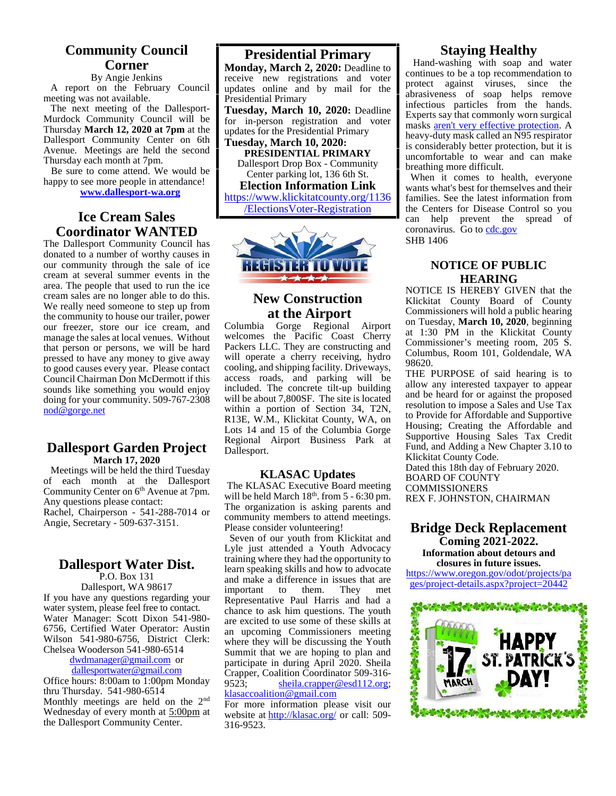#### **Community Council Corner**

#### By Angie Jenkins

A report on the February Council meeting was not available.

The next meeting of the Dallesport- Murdock Community Council will be Thursday **March 12, 2020 at 7pm** at the Dallesport Community Center on 6th Avenue. Meetings are held the second Thursday each month at 7pm.

Be sure to come attend. We would be happy to see more people in attendance! **www.dallesport-wa.org**

**Ice Cream Sales Coordinator WANTED**

The Dallesport Community Council has donated to a number of worthy causes in our community through the sale of ice cream at several summer events in the area. The people that used to run the ice cream sales are no longer able to do this. We really need someone to step up from the community to house our trailer, power<br>our freezer, store, our ice cream, and Columbia our freezer, store our ice cream, and manage the sales at local venues. Without that person or persons, we will be hard pressed to have any money to give away to good causes every year. Please contact Council Chairman Don McDermott if this sounds like something you would enjoy doing for your community. 509-767-2308 nod@gorge.net

#### **Dallesport Garden Project March 17, 2020**

Meetings will be held the third Tuesday of each month at the Dallesport Community Center on  $6<sup>th</sup>$  Avenue at  $7<sub>pm</sub>$ . Any questions please contact: Rachel, Chairperson - 541-288-7014 or Angie, Secretary - 509-637-3151.

#### **Dallesport Water Dist.**

P.O. Box 131 Dallesport, WA 98617 If you have any questions regarding your water system, please feel free to contact. Water Manager: Scott Dixon 541-980- 6756, Certified Water Operator: Austin Wilson 541-980-6756, District Clerk: Chelsea Wooderson 541-980-6514

#### dwdmanager@gmail.com or dallesportwater@gmail.com

Office hours:  $8:00$ am to 1:00pm Monday  $9523$ : thru Thursday. 541-980-6514 Monthly meetings are held on the 2nd Wednesday of every month at 5:00pm at the Dallesport Community Center.

#### **Presidential Primary**

**Monday, March 2, 2020:** Deadline to receive new registrations and voter updates online and by mail for the Presidential Primary

**Tuesday, March 10, 2020:** Deadline for in-person registration and voter updates for the Presidential Primary

**Tuesday, March 10, 2020: PRESIDENTIAL PRIMARY** Dallesport Drop Box - Community Center parking lot, 136 6th St.

**Election Information Link** https://www.klickitatcounty.org/1136 /ElectionsVoter-Registration



# **New Construction at the Airport**<br>Gorge Regional Airport

Gorge Regional welcomes the Pacific Coast Cherry Packers LLC. They are constructing and will operate a cherry receiving, hydro cooling, and shipping facility. Driveways, access roads, and parking will be included. The concrete tilt-up building will be about 7,800SF. The site is located within a portion of Section 34, T2N, R13E, W.M., Klickitat County, WA, on Lots 14 and 15 of the Columbia Gorge Regional Airport Business Park at Dallesport.

#### **KLASAC Updates**

The KLASAC Executive Board meeting will be held March  $18<sup>th</sup>$ . from 5 - 6:30 pm. F The organization is asking parents and community members to attend meetings. Please consider volunteering!

Seven of our youth from Klickitat and Lyle just attended a Youth Advocacy training where they had the opportunity to learn speaking skills and how to advocate and make a difference in issues that are<br>important to them. They met important Representative Paul Harris and had a chance to ask him questions. The youth are excited to use some of these skills at an upcoming Commissioners meeting where they will be discussing the Youth Summit that we are hoping to plan and participate in during April 2020. Sheila Crapper, Coalition Coordinator 509-316 sheila.crapper@esd112.org; klasaccoalition@gmail.com

For more information please visit our website at http://klasac.org/ or call: 509- 316-9523.

#### **Staying Healthy**

Hand-washing with soap and water continues to be a top recommendation to protect against viruses, since the abrasiveness of soap helps remove infectious particles from the hands. Experts say that commonly worn surgical masks aren't very effective protection. A heavy-duty mask called an N95 respirator is considerably better protection, but it is uncomfortable to wear and can make breathing more difficult.

When it comes to health, everyone wants what's best for themselves and their families. See the latest information from the Centers for Disease Control so you can help prevent the spread of coronavirus. Go to cdc.gov SHB 1406

#### **NOTICE OF PUBLIC HEARING**

NOTICE IS HEREBY GIVEN that the Klickitat County Board of County Commissioners will hold a public hearing on Tuesday, **March 10, 2020**, beginning at 1:30 PM in the Klickitat County Commissioner's meeting room, 205 S. Columbus, Room 101, Goldendale, WA 98620.

THE PURPOSE of said hearing is to allow any interested taxpayer to appear and be heard for or against the proposed resolution to impose a Sales and Use Tax to Provide for Affordable and Supportive Housing; Creating the Affordable and Supportive Housing Sales Tax Credit Fund, and Adding a New Chapter 3.10 to Klickitat County Code.

Dated this 18th day of February 2020. BOARD OF COUNTY COMMISSIONERS

REX F. JOHNSTON, CHAIRMAN

#### **Bridge Deck Replacement Coming 2021-2022.**

**Information about detours and closures in future issues.**

https://www.oregon.gov/odot/projects/pa ges/project-details.aspx?project=20442

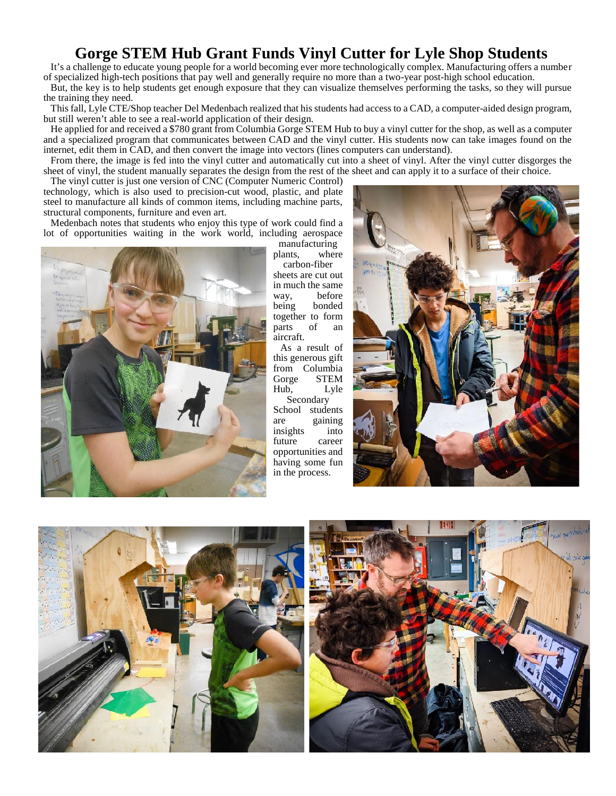# **Gorge STEM Hub Grant Funds Vinyl Cutter for Lyle Shop Students**

It's a challenge to educate young people for a world becoming ever more technologically complex. Manufacturing offers a number of specialized high-tech positions that pay well and generally require no more than a two-year post-high school education.

But, the key is to help students get enough exposure that they can visualize themselves performing the tasks, so they will pursue the training they need.

This fall, Lyle CTE/Shop teacher Del Medenbach realized that his students had access to a CAD, a computer-aided design program, but still weren't able to see a real-world application of their design.

He applied for and received a \$780 grant from Columbia Gorge STEM Hub to buy a vinyl cutter for the shop, as well as a computer and a specialized program that communicates between CAD and the vinyl cutter. His students now can take images found on the internet, edit them in CAD, and then convert the image into vectors (lines computers can understand).

From there, the image is fed into the vinyl cutter and automatically cut into a sheet of vinyl. After the vinyl cutter disgorges the sheet of vinyl, the student manually separates the design from the rest of the sheet and can apply it to a surface of their choice.

The vinyl cutter is just one version of CNC (Computer Numeric Control) technology, which is also used to precision-cut wood, plastic, and plate steel to manufacture all kinds of common items, including machine parts, structural components, furniture and even art.

Medenbach notes that students who enjoy this type of work could find a lot of opportunities waiting in the work world, including aerospace



manufacturing plants, where

carbon-fiber sheets are cut out in much the same way, before<br>being bonded bonded together to form<br>parts of an parts of an aircraft.

As a result of this generous gift from Columbia Gorge STEM Hub, Lyle Secondary School students

are gaining insights into future career opportunities and having some fun in the process.





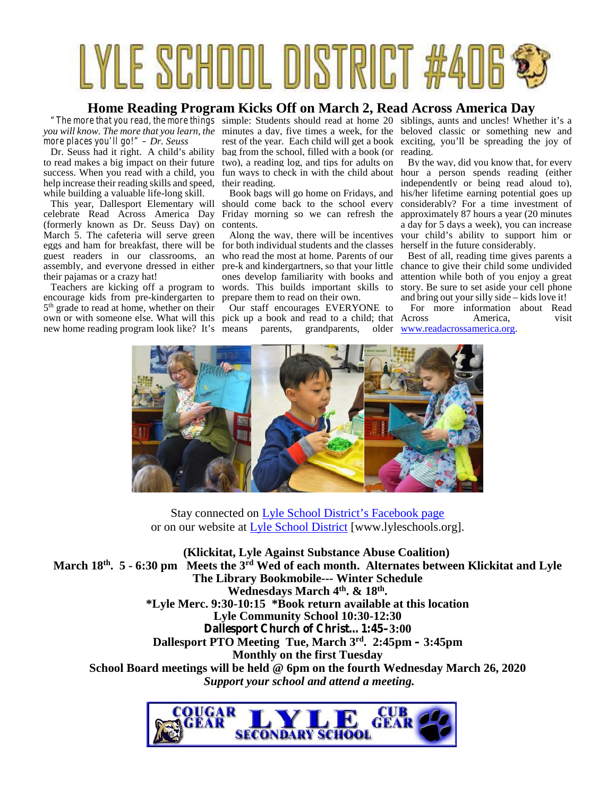# LYLE SCHOOL DISTRICT

#### **Home Reading Program Kicks Off on March 2, Read Across America Day**

*more places you'll go!" – Dr. Seuss*

Dr. Seuss had it right. A child's ability to read makes a big impact on their future success. When you read with a child, you help increase their reading skills and speed, their reading. while building a valuable life-long skill.

This year, Dallesport Elementary will celebrate Read Across America Day (formerly known as Dr. Seuss Day) on March 5. The cafeteria will serve green assembly, and everyone dressed in either their pajamas or a crazy hat!

Teachers are kicking off a program to encourage kids from pre-kindergarten to 5<sup>th</sup> grade to read at home, whether on their Ou own or with someone else. What will this new home reading program look like? It's means

bag from the school, filled with a book (or reading. two), a reading log, and tips for adults on

Book bags will go home on Fridays, and should come back to the school every Friday morning so we can refresh the contents.

eggs and ham for breakfast, there will be for both individual students and the classes guest readers in our classrooms, an who read the most at home. Parents of our Along the way, there will be incentives ones develop familiarity with books and words. This builds important skills to prepare them to read on their own.

Our staff encourages EVERYONE to pick up a book and read to a child; that parents, grandparents, older

*"The more that you read, the more things* simple: Students should read at home 20 siblings, aunts and uncles! Whether it's a you will know. The more that you learn, the minutes a day, five times a week, for the beloved classic or something new and rest of the year. Each child will get a book exciting, you'll be spreading the joy of

fun ways to check in with the child about hour a person spends reading (either By the way, did you know that, for every independently or being read aloud to), his/her lifetime earning potential goes up considerably? For a time investment of approximately 87 hours a year (20 minutes a day for 5 days a week), you can increase your child's ability to support him or herself in the future considerably.

pre-k and kindergartners, so that your little chance to give their child some undivided Best of all, reading time gives parents a attention while both of you enjoy a great story. Be sure to set aside your cell phone and bring out your silly side – kids love it!

For more information about Read America, visit www.readacrossamerica.org.



Stay connected on Lyle School District's Facebook page or on our website at Lyle School District [www.lyleschools.org].

**(Klickitat, Lyle Against Substance Abuse Coalition) March 18 th. 5 - 6:30 pm Meets the 3rd Wed of each month. Alternates between Klickitat and Lyle The Library Bookmobile--- Winter Schedule Wednesdays March 4 th. & 18 th . \*Lyle Merc. 9:30-10:15 \*Book return available at this location Lyle Community School 10:30-12:30 Dallesport Church of Christ…1:45–3:00 Dallesport PTO Meeting Tue, March 3 rd . 2:45pm – 3:45pm Monthly on the first Tuesday School Board meetings will be held @ 6pm on the fourth Wednesday March 26, 2020** *Support your school and attend a meeting.*

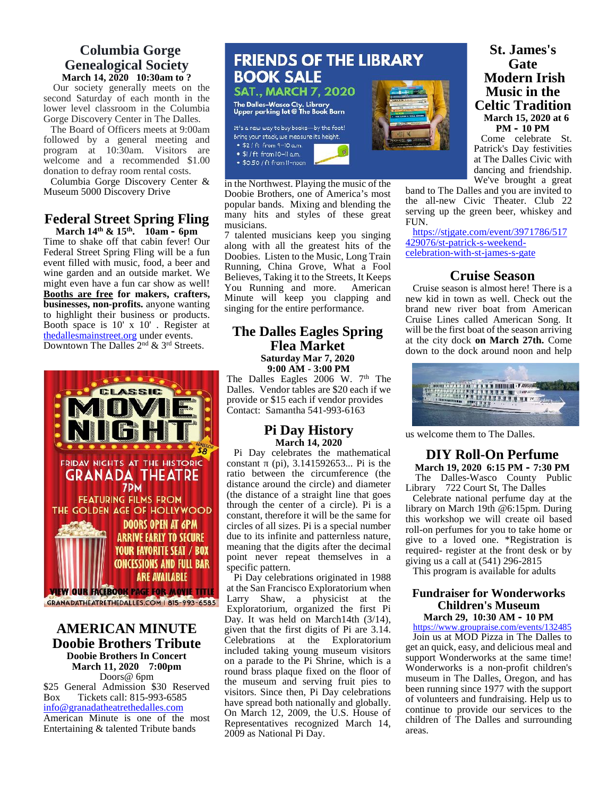# **Columbia Gorge March 14, 2020 10:30am to ?**

Our society generally meets on the **SAT., MARCH 7, 2020** second Saturday of each month in the<br>lower level classroom in the Columbia<br>Upper parking lot @ The Book Barn lower level classroom in the Columbia Gorge Discovery Center in The Dalles.

The Board of Officers meets at 9:00am<br>
Illowed by a concrete meeting and shing your stack we measure its height. followed by a general meeting and  $\bullet$  \$2/ft from 9-10 a.m. program at 10:30am. Visitors are  $\frac{10.27 \text{ ft from } -10.2 \text{ m}}{1.64 \text{ ft from } 10 - 11 \text{ nm}}$ welcome and a recommended \$1.00 • \$0.50/ft from II-noon donation to defray room rental costs.

Columbia Gorge Discovery Center & Museum 5000 Discovery Drive

#### **Federal Street Spring Fling March 14th & 15th. 10am – 6pm**

Time to shake off that cabin fever! Our Federal Street Spring Fling will be a fun event filled with music, food, a beer and wine garden and an outside market. We might even have a fun car show as well! **Booths are free for makers, crafters, businesses, non-profits.** anyone wanting to highlight their business or products. Booth space is 10' x 10' . Register at thedallesmainstreet.org under events. Downtown The Dalles  $2<sup>nd</sup>$  & 3<sup>rd</sup> Streets.



#### **AMERICAN MINUTE Doobie Brothers Tribute Doobie Brothers In Concert March 11, 2020 7:00pm** Doors@ 6pm

\$25 General Admission \$30 Reserved Box Tickets call: 815-993-6585 info@granadatheatrethedalles.com American Minute is one of the most Entertaining & talented Tribute bands



in the Northwest. Playing the music of the Doobie Brothers, one of America's most popular bands. Mixing and blending the many hits and styles of these great musicians.

7 talented musicians keep you singing along with all the greatest hits of the Doobies. Listen to the Music, Long Train Running, China Grove, What a Fool Believes, Taking it to the Streets, It Keeps You Running and more. American Minute will keep you clapping and singing for the entire performance.

#### **The Dalles Eagles Spring Flea Market Saturday Mar 7, 2020**

**9:00 AM - 3:00 PM** The Dalles Eagles 2006 W. 7<sup>th</sup> The Dalles. Vendor tables are \$20 each if we provide or \$15 each if vendor provides Contact: Samantha 541-993-6163

#### **Pi Day History March 14, 2020**

Pi Day celebrates the mathematical constant (pi),  $3.141592653...$  Pi is the ratio between the circumference (the distance around the circle) and diameter (the distance of a straight line that goes through the center of a circle). Pi is a constant, therefore it will be the same for circles of all sizes. Pi is a special number due to its infinite and patternless nature, meaning that the digits after the decimal point never repeat themselves in a specific pattern.

Pi Day celebrations originated in 1988 at the San Francisco Exploratorium when Larry Shaw, a physicist at the Exploratorium, organized the first Pi Day. It was held on March14th (3/14), given that the first digits of Pi are 3.14. Celebrations at the Exploratorium included taking young museum visitors on a parade to the Pi Shrine, which is a round brass plaque fixed on the floor of the museum and serving fruit pies to visitors. Since then, Pi Day celebrations have spread both nationally and globally. On March 12, 2009, the U.S. House of Representatives recognized March 14, 2009 as National Pi Day.

**Gate Modern Irish Music in the Celtic Tradition March 15, 2020 at 6 PM – 10 PM** Come celebrate St. Patrick's Day festivities

at The Dalles Civic with dancing and friendship. We've brought a great

**St. James's**

band to The Dalles and you are invited to the all-new Civic Theater. Club 22 serving up the green beer, whiskey and FUN.

https://stjgate.com/event/3971786/517 429076/st-patrick-s-weekend celebration-with-st-james-s-gate

#### **Cruise Season**

Cruise season is almost here! There is a new kid in town as well. Check out the brand new river boat from American Cruise Lines called American Song. It will be the first boat of the season arriving at the city dock **on March 27th.** Come down to the dock around noon and help



us welcome them to The Dalles.

#### **DIY Roll-On Perfume March 19, 2020 6:15 PM – 7:30 PM**

The Dalles-Wasco County Public Library 722 Court St, The Dalles

Celebrate national perfume day at the library on March 19th @6:15pm. During this workshop we will create oil based roll-on perfumes for you to take home or give to a loved one. \*Registration is required- register at the front desk or by giving us a call at (541) 296-2815

This program is available for adults

#### **Fundraiser for Wonderworks Children's Museum March 29, 10:30 AM – 10 PM**

https://www.groupraise.com/events/132485

Join us at MOD Pizza in The Dalles to get an quick, easy, and delicious meal and support Wonderworks at the same time! Wonderworks is a non-profit children's museum in The Dalles, Oregon, and has been running since 1977 with the support of volunteers and fundraising. Help us to continue to provide our services to the children of The Dalles and surrounding areas.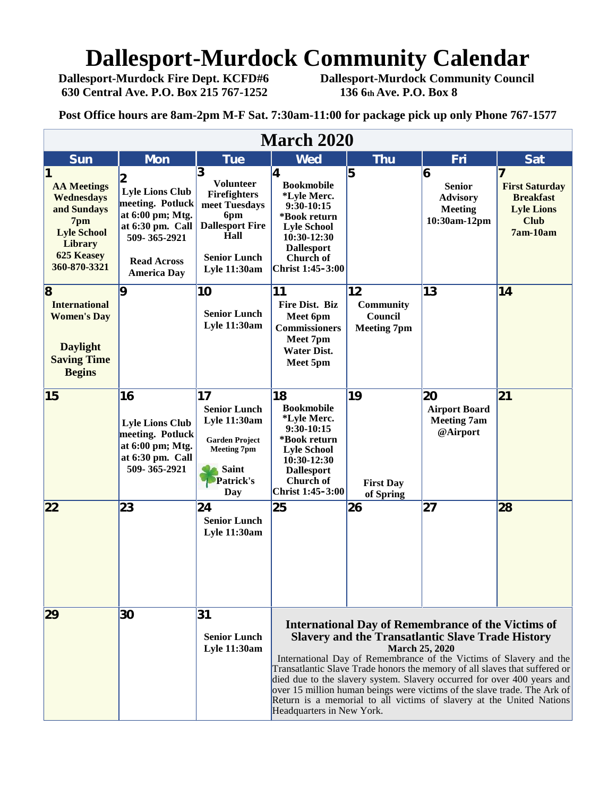# **Dallesport-Murdock Community Calendar**<br>Dallesport-Murdock Fire Dept. KCFD#6 Dallesport-Murdock Community Council

**630 Central Ave. P.O. Box 215 767-1252 136 6th Ave. P.O. Box 8**

**Dallesport-Murdock Community Council** 

**Post Office hours are 8am-2pm M-F Sat. 7:30am-11:00 for package pick up only Phone 767-1577**

| <b>March 2020</b>                                                                                                                   |                                                                                                                                                |                                                                                                                                                      |                                                                                                                                                                                                                                                                                                                                                                                                                                                                                                                                                                |                                                         |                                                                         |                                                                                             |
|-------------------------------------------------------------------------------------------------------------------------------------|------------------------------------------------------------------------------------------------------------------------------------------------|------------------------------------------------------------------------------------------------------------------------------------------------------|----------------------------------------------------------------------------------------------------------------------------------------------------------------------------------------------------------------------------------------------------------------------------------------------------------------------------------------------------------------------------------------------------------------------------------------------------------------------------------------------------------------------------------------------------------------|---------------------------------------------------------|-------------------------------------------------------------------------|---------------------------------------------------------------------------------------------|
| <b>Sun</b>                                                                                                                          | <b>Mon</b>                                                                                                                                     | <b>Tue</b>                                                                                                                                           | <b>Wed</b>                                                                                                                                                                                                                                                                                                                                                                                                                                                                                                                                                     | <b>Thu</b>                                              | Fri                                                                     | <b>Sat</b>                                                                                  |
| <b>AA Meetings</b><br>Wednesdays<br>and Sundays<br>7pm<br><b>Lyle School</b><br><b>Library</b><br><b>625 Keasey</b><br>360-870-3321 | <b>Lyle Lions Club</b><br>meeting. Potluck<br>at 6:00 pm; Mtg.<br>at 6:30 pm. Call<br>509-365-2921<br><b>Read Across</b><br><b>America Day</b> | 3<br><b>Volunteer</b><br><b>Firefighters</b><br>meet Tuesdays<br>6pm<br><b>Dallesport Fire</b><br>Hall<br><b>Senior Lunch</b><br><b>Lyle 11:30am</b> | 14<br><b>Bookmobile</b><br>*Lyle Merc.<br>9:30-10:15<br>*Book return<br><b>Lyle School</b><br>$10:30-12:30$<br><b>Dallesport</b><br>Church of<br>Christ 1:45-3:00                                                                                                                                                                                                                                                                                                                                                                                              | 5                                                       | 6<br><b>Senior</b><br><b>Advisory</b><br><b>Meeting</b><br>10:30am-12pm | <b>First Saturday</b><br><b>Breakfast</b><br><b>Lyle Lions</b><br><b>Club</b><br>$7am-10am$ |
| $\overline{\mathbf{8}}$<br><b>International</b><br><b>Women's Day</b><br><b>Daylight</b><br><b>Saving Time</b><br><b>Begins</b>     | $\overline{9}$                                                                                                                                 | 10<br><b>Senior Lunch</b><br><b>Lyle 11:30am</b>                                                                                                     | 11<br><b>Fire Dist. Biz</b><br>Meet 6pm<br><b>Commissioners</b><br>Meet 7pm<br><b>Water Dist.</b><br>Meet 5pm                                                                                                                                                                                                                                                                                                                                                                                                                                                  | 12<br><b>Community</b><br>Council<br><b>Meeting 7pm</b> | 13                                                                      | 14                                                                                          |
| 15                                                                                                                                  | 16<br><b>Lyle Lions Club</b><br>meeting. Potluck<br>at 6:00 pm; Mtg.<br>at 6:30 pm. Call<br>509-365-2921                                       | 17<br><b>Senior Lunch</b><br>Lyle 11:30am<br><b>Garden Project</b><br><b>Meeting 7pm</b><br><b>Saint</b><br>Patrick's<br>Day                         | 18<br><b>Bookmobile</b><br>*Lyle Merc.<br>$9:30-10:15$<br>*Book return<br><b>Lyle School</b><br>10:30-12:30<br><b>Dallesport</b><br>Church of<br>Christ 1:45-3:00                                                                                                                                                                                                                                                                                                                                                                                              | 19<br><b>First Day</b><br>of Spring                     | 20<br><b>Airport Board</b><br><b>Meeting 7am</b><br>@Airport            | 21                                                                                          |
| 22                                                                                                                                  | 23                                                                                                                                             | 24<br><b>Senior Lunch</b><br>Lyle 11:30am                                                                                                            | 25                                                                                                                                                                                                                                                                                                                                                                                                                                                                                                                                                             | 26                                                      | 27                                                                      | 28                                                                                          |
| 29                                                                                                                                  | 30                                                                                                                                             | 31<br><b>Senior Lunch</b><br><b>Lyle 11:30am</b>                                                                                                     | <b>International Day of Remembrance of the Victims of</b><br><b>Slavery and the Transatlantic Slave Trade History</b><br><b>March 25, 2020</b><br>International Day of Remembrance of the Victims of Slavery and the<br>Transatlantic Slave Trade honors the memory of all slaves that suffered or<br>died due to the slavery system. Slavery occurred for over 400 years and<br>over 15 million human beings were victims of the slave trade. The Ark of<br>Return is a memorial to all victims of slavery at the United Nations<br>Headquarters in New York. |                                                         |                                                                         |                                                                                             |